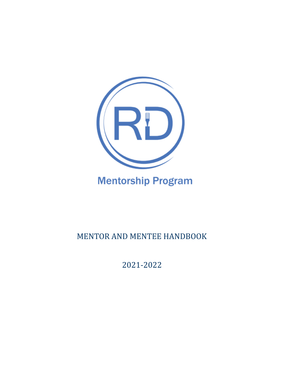

# **Mentorship Program**

## MENTOR AND MENTEE HANDBOOK

2021-2022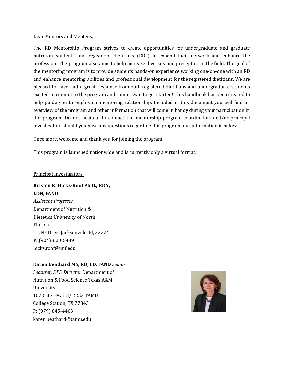Dear Mentors and Mentees,

The RD Mentorship Program strives to create opportunities for undergraduate and graduate nutrition students and registered dietitians (RDs) to expand their network and enhance the profession. The program also aims to help increase diversity and preceptors in the field. The goal of the mentoring program is to provide students hands-on experience working one-on-one with an RD and enhance mentoring abilities and professional development for the registered dietitians. We are pleased to have had a great response from both registered dietitians and undergraduate students excited to commit to the program and cannot wait to get started! This handbook has been created to help guide you through your mentoring relationship. Included in this document you will find an overview of the program and other information that will come in handy during your participation in the program. Do not hesitate to contact the mentorship program coordinators and/or principal investigators should you have any questions regarding this program; our information is below.

Once more, welcome and thank you for joining the program!

This program is launched nationwide and is currently only a virtual format.

#### Principal Investigators:

## **Kristen K. Hicks-Roof Ph.D., RDN, LDN, FAND** *Assistant Professor* Department of Nutrition & Dietetics University of North Florida 1 UNF Drive Jacksonville, Fl, 32224 P: (904)-620-5449 [hicks.roof@unf.edu](mailto:hicks.roof@unf.edu)

#### **Karen Beathard MS, RD, LD, FAND** *Senior*

*Lecturer, DPD Director* Department of Nutrition & Food Science Texas A&M University 102 Cater-Mattil/ 2253 TAMU College Station, TX 77843 P: (979) 845-4403 [karen.beathard@tamu.edu](mailto:kbeathard@tamu.edu)

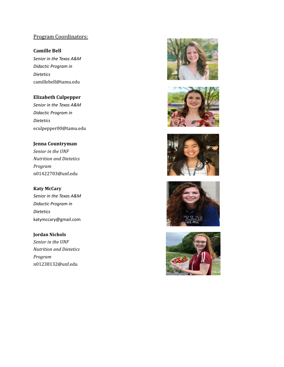## Program Coordinators:

#### **Camille Bell**

*Senior in the Texas A&M Didactic Program in Dietetics* camillebell@tamu.edu

#### **Elizabeth Culpepper**

*Senior in the Texas A&M Didactic Program in Dietetics* eculpepper00@tamu.edu

#### **Jenna Countryman**

*Senior in the UNF Nutrition and Dietetics Program* n01422703@unf.edu

**Katy McCary** *Senior in the Texas A&M Didactic Program in Dietetics* katymccary@gmail.com

## **Jordan Nichols**

*Senior in the UNF Nutrition and Dietetics Program* [n01238132@unf.edu](mailto:n01238132@unf.edu)









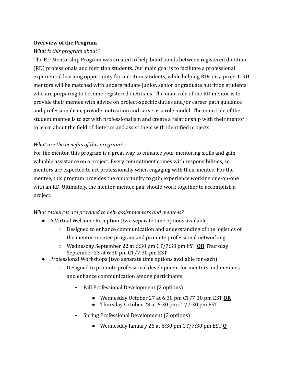#### **Overview of the Program**

#### *What is this program about?*

The RD Mentorship Program was created to help build bonds between registered dietitian (RD) professionals and nutrition students. Our main goal is to facilitate a professional experiential learning opportunity for nutrition students, while helping RDs on a project. RD mentors will be matched with undergraduate junior, senior or graduate nutrition students who are preparing to become registered dietitians. The main role of the RD mentor is to provide their mentee with advice on project-specific duties and/or career path guidance and professionalism, provide motivation and serve as a role model. The main role of the student mentee is to act with professionalism and create a relationship with their mentor to learn about the field of dietetics and assist them with identified projects.

## *What are the benefits of this program?*

For the mentor, this program is a great way to enhance your mentoring skills and gain valuable assistance on a project. Every commitment comes with responsibilities, so mentors are expected to act professionally when engaging with their mentee. For the mentee, this program provides the opportunity to gain experience working one-on-one with an RD. Ultimately, the mentor-mentee pair should work together to accomplish a project.

#### *What resources are provided to help assist mentors and mentees?*

- A Virtual Welcome Reception (two separate time options available)
	- o Designed to enhance communication and understanding of the logistics of the mentor-mentee program and promote professional networking.
	- o Wednesday September 22 at 6:30 pm CT/7:30 pm EST **OR** Thursday September 23 at 6:30 pm CT/7:30 pm EST
- Professional Workshops (two separate time options available for each)
	- o Designed to promote professional development for mentors and mentees and enhance communication among participants.
		- Fall Professional Development (2 options)
			- Wednesday October 27 at 6:30 pm CT/7:30 pm EST **OR**
			- Thursday October 28 at 6:30 pm CT/7:30 pm EST
		- Spring Professional Development (2 options)
			- Wednesday January 26 at 6:30 pm CT/7:30 pm EST **O**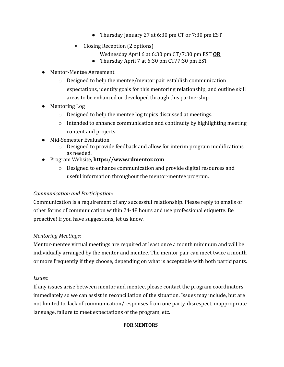- Thursday January 27 at 6:30 pm CT or 7:30 pm EST
- Closing Reception (2 options)
	- Wednesday April 6 at 6:30 pm CT/7:30 pm EST **OR**
	- Thursday April 7 at 6:30 pm CT/7:30 pm EST
- Mentor-Mentee Agreement
	- o Designed to help the mentee/mentor pair establish communication expectations, identify goals for this mentoring relationship, and outline skill areas to be enhanced or developed through this partnership.
- Mentoring Log
	- o Designed to help the mentee log topics discussed at meetings.
	- $\circ$  Intended to enhance communication and continuity by highlighting meeting content and projects.
- Mid-Semester Evaluation
	- $\circ$  Designed to provide feedback and allow for interim program modifications as needed.
- Program Website, **[https://www.rdmentor.com](https://www.rdmentor.com/faq-s)**
	- o Designed to enhance communication and provide digital resources and useful information throughout the mentor-mentee program.

## *Communication and Participation:*

Communication is a requirement of any successful relationship. Please reply to emails or other forms of communication within 24-48 hours and use professional etiquette. Be proactive! If you have suggestions, let us know.

## *Mentoring Meetings:*

Mentor-mentee virtual meetings are required at least once a month minimum and will be individually arranged by the mentor and mentee. The mentor pair can meet twice a month or more frequently if they choose, depending on what is acceptable with both participants.

## *Issues*:

If any issues arise between mentor and mentee, please contact the program coordinators immediately so we can assist in reconciliation of the situation. Issues may include, but are not limited to, lack of communication/responses from one party, disrespect, inappropriate language, failure to meet expectations of the program, etc.

#### **FOR MENTORS**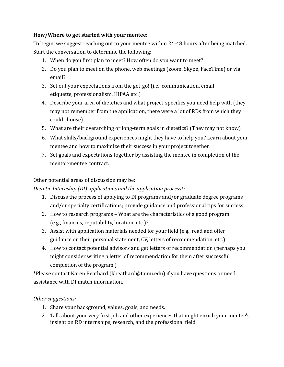## **How/Where to get started with your mentee:**

To begin, we suggest reaching out to your mentee within 24-48 hours after being matched. Start the conversation to determine the following:

- 1. When do you first plan to meet? How often do you want to meet?
- 2. Do you plan to meet on the phone, web meetings (zoom, Skype, FaceTime) or via email?
- 3. Set out your expectations from the get-go! (i.e., communication, email etiquette, professionalism, HIPAA etc.)
- 4. Describe your area of dietetics and what project-specifics you need help with (they may not remember from the application, there were a lot of RDs from which they could choose).
- 5. What are their overarching or long-term goals in dietetics? (They may not know)
- 6. What skills/background experiences might they have to help you? Learn about your mentee and how to maximize their success in your project together.
- 7. Set goals and expectations together by assisting the mentee in completion of the mentor-mentee contract.

## Other potential areas of discussion may be:

*Dietetic Internship (DI) applications and the application process\*:*

- 1. Discuss the process of applying to DI programs and/or graduate degree programs and/or specialty certifications; provide guidance and professional tips for success.
- 2. How to research programs What are the characteristics of a good program (e.g., finances, reputability, location, etc.)?
- 3. Assist with application materials needed for your field (e.g., read and offer guidance on their personal statement, CV, letters of recommendation, etc.)
- 4. How to contact potential advisors and get letters of recommendation (perhaps you might consider writing a letter of recommendation for them after successful completion of the program.)

\*Please contact Karen Beathard [\(kbeathard@tamu.edu\)](mailto:kbeathard@tamu.edu) if you have questions or need assistance with DI match information.

## *Other suggestions:*

- 1. Share your background, values, goals, and needs.
- 2. Talk about your very first job and other experiences that might enrich your mentee's insight on RD internships, research, and the professional field.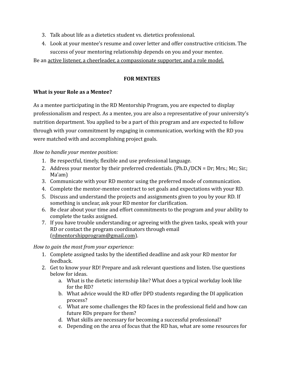- 3. Talk about life as a dietetics student vs. dietetics professional.
- 4. Look at your mentee's resume and cover letter and offer constructive criticism. The success of your mentoring relationship depends on you and your mentee.

Be an active listener, a cheerleader, a compassionate supporter, and a role model.

#### **FOR MENTEES**

#### **What is your Role as a Mentee?**

As a mentee participating in the RD Mentorship Program, you are expected to display professionalism and respect. As a mentee, you are also a representative of your university's nutrition department. You applied to be a part of this program and are expected to follow through with your commitment by engaging in communication, working with the RD you were matched with and accomplishing project goals.

#### *How to handle your mentee position:*

- 1. Be respectful, timely, flexible and use professional language.
- 2. Address your mentor by their preferred credentials. (Ph.D./DCN = Dr; Mrs.; Mr.; Sir.; Ma'am)
- 3. Communicate with your RD mentor using the preferred mode of communication.
- 4. Complete the mentor-mentee contract to set goals and expectations with your RD.
- 5. Discuss and understand the projects and assignments given to you by your RD. If something is unclear, ask your RD mentor for clarification.
- 6. Be clear about your time and effort commitments to the program and your ability to complete the tasks assigned.
- 7. If you have trouble understanding or agreeing with the given tasks, speak with your RD or contact the program coordinators through email ([rdmentorshipprogram@gmail.com](mailto:rdmentorshipprogram@gmail.com)).

#### *How to gain the most from your experience:*

- 1. Complete assigned tasks by the identified deadline and ask your RD mentor for feedback.
- 2. Get to know your RD! Prepare and ask relevant questions and listen. Use questions below for ideas.
	- a. What is the dietetic internship like? What does a typical workday look like for the RD?
	- b. What advice would the RD offer DPD students regarding the DI application process?
	- c. What are some challenges the RD faces in the professional field and how can future RDs prepare for them?
	- d. What skills are necessary for becoming a successful professional?
	- e. Depending on the area of focus that the RD has, what are some resources for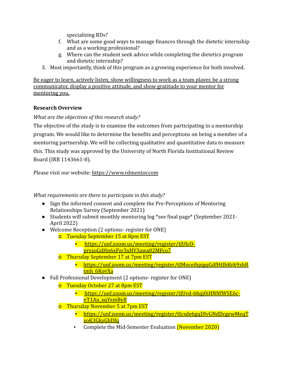specializing RDs?

- f. What are some good ways to manage finances through the dietetic internship and as a working professional?
- g. Where can the student seek advice while completing the dietetics program and dietetic internship?
- 3. Most importantly, think of this program as a growing experience for both involved.

Be eager to learn, actively listen, show willingness to work as a team player, be a strong communicator, display a positive attitude, and show gratitude to your mentor for mentoring you.

## **Research Overview**

## *What are the objectives of this research study?*

The objective of the study is to examine the outcomes from participating in a mentorship program. We would like to determine the benefits and perceptions on being a member of a mentoring partnership. We will be collecting qualitative and quantitative data to measure this. This study was approved by the University of North Florida Institutional Review Board (IRB 1143661-8).

Please visit our website: [https://www.rdmentor.com](https://www.rdmentor.com/)

*What requirements are there to participate in this study?*

- Sign the informed consent and complete the Pre-Perceptions of Mentoring Relationships Survey (September 2021)
- Students will submit monthly mentoring log \*see final page\* (September 2021- April 2022)
- Welcome Reception (2 options- register for ONE)
	- o Tuesday September 15 at 8pm EST
		- [https://unf.zoom.us/meeting/register/tJUlcO](https://unf.zoom.us/meeting/register/tJUlcO-przsoGdHn6xFzr3xHY3awa02MFco7)[przsoGdHn6xFzr3xHY3awa02MFco7](https://unf.zoom.us/meeting/register/tJUlcO-przsoGdHn6xFzr3xHY3awa02MFco7)
	- o Thursday September 17 at 7pm EST
		- [https://unf.zoom.us/meeting/register/tJMoceihpjgqGdfHtIbKvk9xhR](https://unf.zoom.us/meeting/register/tJMoceihpjgqGdfHtIbKvk9xhRtmh_6KovXa) tmh 6KovXa
- Fall Professional Development (2 options- register for ONE)
	- o Tuesday October 27 at 8pm EST
		- [https://unf.zoom.us/meeting/register/tJUvd-6hqj0iHNNfWSE6c](https://unf.zoom.us/meeting/register/tJUvd-6hqj0iHNNfWSE6c-nT1Au_xqYxmByB)[nT1Au\\_xqYxmByB](https://unf.zoom.us/meeting/register/tJUvd-6hqj0iHNNfWSE6c-nT1Au_xqYxmByB)
	- o Thursday November 5 at 7pm EST
		- [https://unf.zoom.us/meeting/register/tJcsde6gqDIvGNdDcgewMeqT](https://unf.zoom.us/meeting/register/tJcsde6gqDIvGNdDcgewMeqTxoK3GksGhDfq) [xoK3GksGhDfq](https://unf.zoom.us/meeting/register/tJcsde6gqDIvGNdDcgewMeqTxoK3GksGhDfq)
		- Complete the Mid-Semester Evaluation (November 2020)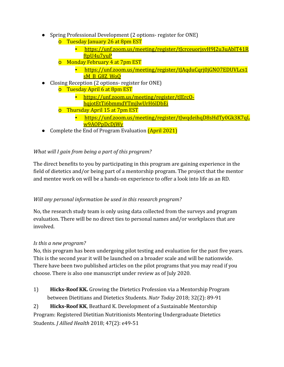- Spring Professional Development (2 options- register for ONE)
	- o Tuesday January 26 at 8pm EST
		- [https://unf.zoom.us/meeting/register/tJcrceuorjsvH9J2u3uAblT41R](https://unf.zoom.us/meeting/register/tJcrceuorjsvH9J2u3uAblT41RftpU4u7yuP) [ftpU4u7yuP](https://unf.zoom.us/meeting/register/tJcrceuorjsvH9J2u3uAblT41RftpU4u7yuP)
	- o Monday February 4 at 7pm EST
		- [https://unf.zoom.us/meeting/register/tJAqduCqrj0jGNO7EDUVLcs1](https://unf.zoom.us/meeting/register/tJAqduCqrj0jGNO7EDUVLcs1sM_B_G8Z_WoQ) [sM\\_B\\_G8Z\\_WoQ](https://unf.zoom.us/meeting/register/tJAqduCqrj0jGNO7EDUVLcs1sM_B_G8Z_WoQ)
- Closing Reception (2 options- register for ONE) o Tuesday April 6 at 8pm EST
	- [https://unf.zoom.us/meeting/register/tJErcO](https://unf.zoom.us/meeting/register/tJErcO-hqjotEtTi6bmmdYTmjlwUrH6lDbEi)
		- [hqjotEtTi6bmmdYTmjlwUrH6lDbEi](https://unf.zoom.us/meeting/register/tJErcO-hqjotEtTi6bmmdYTmjlwUrH6lDbEi)
	- o Thursday April 15 at 7pm EST
		- [https://unf.zoom.us/meeting/register/tJwqdeihqD8sHdTy0Gk3K7qL](https://unf.zoom.us/meeting/register/tJwqdeihqD8sHdTy0Gk3K7qLw9AOPpDcDjWy) [w9AOPpDcDjWy](https://unf.zoom.us/meeting/register/tJwqdeihqD8sHdTy0Gk3K7qLw9AOPpDcDjWy)
- Complete the End of Program Evaluation (April 2021)

## *What will I gain from being a part of this program?*

The direct benefits to you by participating in this program are gaining experience in the field of dietetics and/or being part of a mentorship program. The project that the mentor and mentee work on will be a hands-on experience to offer a look into life as an RD.

## *Will any personal information be used in this research program?*

No, the research study team is only using data collected from the surveys and program evaluation. There will be no direct ties to personal names and/or workplaces that are involved.

## *Is this a new program?*

No, this program has been undergoing pilot testing and evaluation for the past five years. This is the second year it will be launched on a broader scale and will be nationwide. There have been two published articles on the pilot programs that you may read if you choose. There is also one manuscript under review as of July 2020.

1) **Hicks-Roof KK.** Growing the Dietetics Profession via a Mentorship Program between Dietitians and Dietetics Students. *Nutr Today* 2018; 32(2): 89-91

2) **Hicks-Roof KK**, Beathard K. Development of a Sustainable Mentorship Program: Registered Dietitian Nutritionists Mentoring Undergraduate Dietetics Students. *J Allied Health* 2018; 47(2): e49-51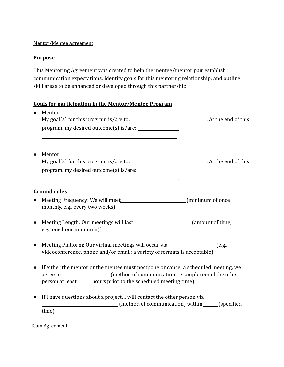#### Mentor/Mentee Agreement

#### **Purpose**

This Mentoring Agreement was created to help the mentee/mentor pair establish communication expectations; identify goals for this mentoring relationship; and outline skill areas to be enhanced or developed through this partnership.

#### **Goals for participation in the Mentor/Mentee Program**

|           | Mentee<br>My goal(s) for this program is/are to: $\blacksquare$ At the end of this                                                                                                                                                      |  |
|-----------|-----------------------------------------------------------------------------------------------------------------------------------------------------------------------------------------------------------------------------------------|--|
|           |                                                                                                                                                                                                                                         |  |
|           | Mentor<br>My goal(s) for this program is/are to: $\sqrt{\frac{2}{1}}$ At the end of this                                                                                                                                                |  |
|           | <b>Ground rules</b>                                                                                                                                                                                                                     |  |
|           | Meeting Frequency: We will meet_____________________________(minimum of once<br>monthly, e.g., every two weeks)                                                                                                                         |  |
|           | e.g., one hour minimum))                                                                                                                                                                                                                |  |
| $\bullet$ | Meeting Platform: Our virtual meetings will occur via____________________________(e.g.,<br>videoconference, phone and/or email; a variety of formats is acceptable)                                                                     |  |
| $\bullet$ | If either the mentor or the mentee must postpone or cancel a scheduled meeting, we<br>agree to _________________(method of communication - example: email the other<br>person at least_______hours prior to the scheduled meeting time) |  |
|           | If I have questions about a project, I will contact the other person via<br>(method of communication) within (specified)                                                                                                                |  |
|           | time)                                                                                                                                                                                                                                   |  |

Team Agreement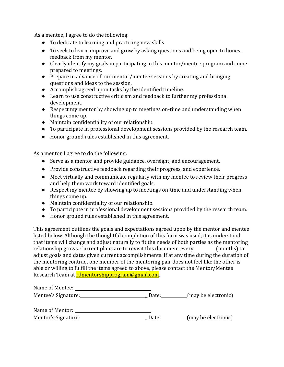As a mentee, I agree to do the following:

- To dedicate to learning and practicing new skills
- To seek to learn, improve and grow by asking questions and being open to honest feedback from my mentor.
- Clearly identify my goals in participating in this mentor/mentee program and come prepared to meetings.
- Prepare in advance of our mentor/mentee sessions by creating and bringing questions and ideas to the session.
- Accomplish agreed upon tasks by the identified timeline.
- Learn to use constructive criticism and feedback to further my professional development.
- Respect my mentor by showing up to meetings on-time and understanding when things come up.
- Maintain confidentiality of our relationship.
- To participate in professional development sessions provided by the research team.
- Honor ground rules established in this agreement.

As a mentor, I agree to do the following:

- Serve as a mentor and provide guidance, oversight, and encouragement.
- Provide constructive feedback regarding their progress, and experience.
- Meet virtually and communicate regularly with my mentee to review their progress and help them work toward identified goals.
- Respect my mentee by showing up to meetings on-time and understanding when things come up.
- Maintain confidentiality of our relationship.
- To participate in professional development sessions provided by the research team.
- Honor ground rules established in this agreement.

This agreement outlines the goals and expectations agreed upon by the mentor and mentee listed below. Although the thoughtful completion of this form was used, it is understood that items will change and adjust naturally to fit the needs of both parties as the mentoring relationship grows. Current plans are to revisit this document every \_\_\_\_\_\_\_\_(months) to adjust goals and dates given current accomplishments. If at any time during the duration of the mentoring contract one member of the mentoring pair does not feel like the other is able or willing to fulfill the items agreed to above, please contact the Mentor/Mentee Research Team at [rdmentorshipprogram@gmail.com.](mailto:rdmentorshipprogram@gmail.com)

| Name of Mentee:     |       |                     |
|---------------------|-------|---------------------|
| Mentee's Signature: | Date: | (may be electronic) |
| Name of Mentor:     |       |                     |
| Mentor's Signature: | Date: | (may be electronic) |